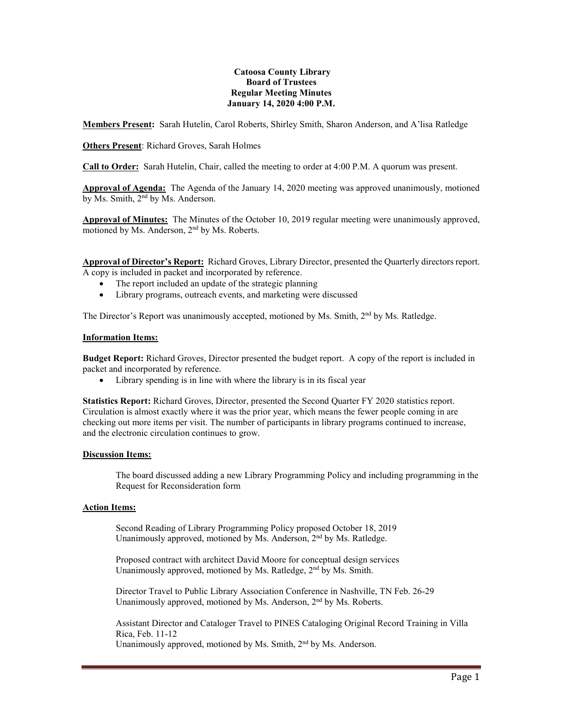#### **Catoosa County Library Board of Trustees Regular Meeting Minutes January 14, 2020 4:00 P.M.**

**Members Present:** Sarah Hutelin, Carol Roberts, Shirley Smith, Sharon Anderson, and A'lisa Ratledge

# **Others Present**: Richard Groves, Sarah Holmes

**Call to Order:** Sarah Hutelin, Chair, called the meeting to order at 4:00 P.M. A quorum was present.

**Approval of Agenda:** The Agenda of the January 14, 2020 meeting was approved unanimously, motioned by Ms. Smith, 2nd by Ms. Anderson.

**Approval of Minutes:** The Minutes of the October 10, 2019 regular meeting were unanimously approved, motioned by Ms. Anderson, 2nd by Ms. Roberts.

**Approval of Director's Report:** Richard Groves, Library Director, presented the Quarterly directors report. A copy is included in packet and incorporated by reference.

- The report included an update of the strategic planning
- Library programs, outreach events, and marketing were discussed

The Director's Report was unanimously accepted, motioned by Ms. Smith, 2<sup>nd</sup> by Ms. Ratledge.

#### **Information Items:**

**Budget Report:** Richard Groves, Director presented the budget report. A copy of the report is included in packet and incorporated by reference.

• Library spending is in line with where the library is in its fiscal year

**Statistics Report:** Richard Groves, Director, presented the Second Quarter FY 2020 statistics report. Circulation is almost exactly where it was the prior year, which means the fewer people coming in are checking out more items per visit. The number of participants in library programs continued to increase, and the electronic circulation continues to grow.

## **Discussion Items:**

The board discussed adding a new Library Programming Policy and including programming in the Request for Reconsideration form

## **Action Items:**

Second Reading of Library Programming Policy proposed October 18, 2019 Unanimously approved, motioned by Ms. Anderson, 2<sup>nd</sup> by Ms. Ratledge.

Proposed contract with architect David Moore for conceptual design services Unanimously approved, motioned by Ms. Ratledge, 2<sup>nd</sup> by Ms. Smith.

Director Travel to Public Library Association Conference in Nashville, TN Feb. 26-29 Unanimously approved, motioned by Ms. Anderson, 2<sup>nd</sup> by Ms. Roberts.

Assistant Director and Cataloger Travel to PINES Cataloging Original Record Training in Villa Rica, Feb. 11-12 Unanimously approved, motioned by Ms. Smith, 2nd by Ms. Anderson.